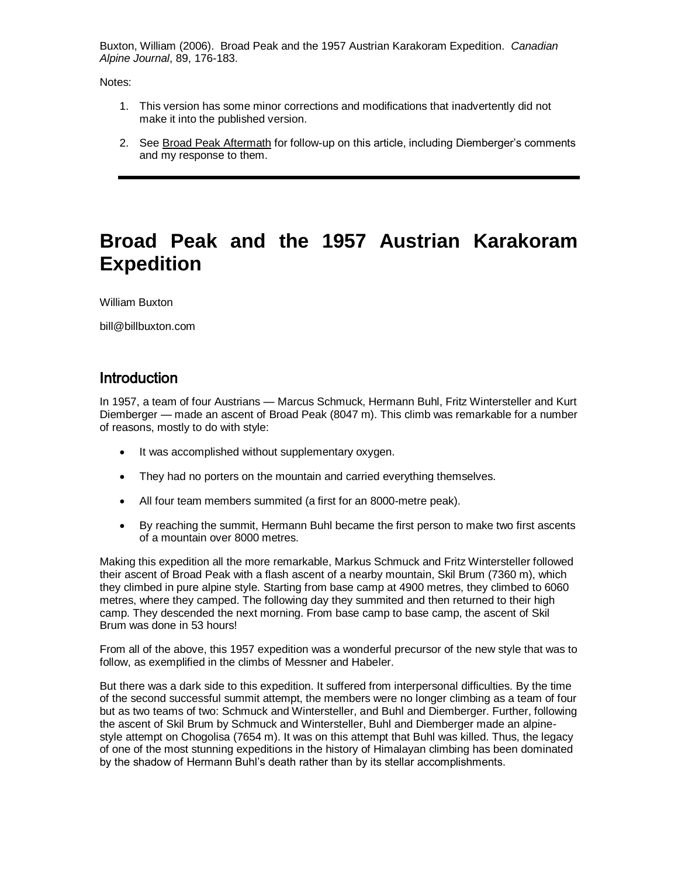Buxton, William (2006). Broad Peak and the 1957 Austrian Karakoram Expedition. *Canadian Alpine Journal*, 89, 176-183.

Notes:

- 1. This version has some minor corrections and modifications that inadvertently did not make it into the published version.
- 2. See Broad [Peak Aftermath](BroadpeakAftermath.html) for follow-up on this article, including Diemberger's comments and my response to them.

# **Broad Peak and the 1957 Austrian Karakoram Expedition**

William Buxton

bill@billbuxton.com

### **Introduction**

In 1957, a team of four Austrians — Marcus Schmuck, Hermann Buhl, Fritz Wintersteller and Kurt Diemberger — made an ascent of Broad Peak (8047 m). This climb was remarkable for a number of reasons, mostly to do with style:

- It was accomplished without supplementary oxygen.
- They had no porters on the mountain and carried everything themselves.
- All four team members summited (a first for an 8000-metre peak).
- By reaching the summit, Hermann Buhl became the first person to make two first ascents of a mountain over 8000 metres.

Making this expedition all the more remarkable, Markus Schmuck and Fritz Wintersteller followed their ascent of Broad Peak with a flash ascent of a nearby mountain, Skil Brum (7360 m), which they climbed in pure alpine style. Starting from base camp at 4900 metres, they climbed to 6060 metres, where they camped. The following day they summited and then returned to their high camp. They descended the next morning. From base camp to base camp, the ascent of Skil Brum was done in 53 hours!

From all of the above, this 1957 expedition was a wonderful precursor of the new style that was to follow, as exemplified in the climbs of Messner and Habeler.

But there was a dark side to this expedition. It suffered from interpersonal difficulties. By the time of the second successful summit attempt, the members were no longer climbing as a team of four but as two teams of two: Schmuck and Wintersteller, and Buhl and Diemberger. Further, following the ascent of Skil Brum by Schmuck and Wintersteller, Buhl and Diemberger made an alpinestyle attempt on Chogolisa (7654 m). It was on this attempt that Buhl was killed. Thus, the legacy of one of the most stunning expeditions in the history of Himalayan climbing has been dominated by the shadow of Hermann Buhl's death rather than by its stellar accomplishments.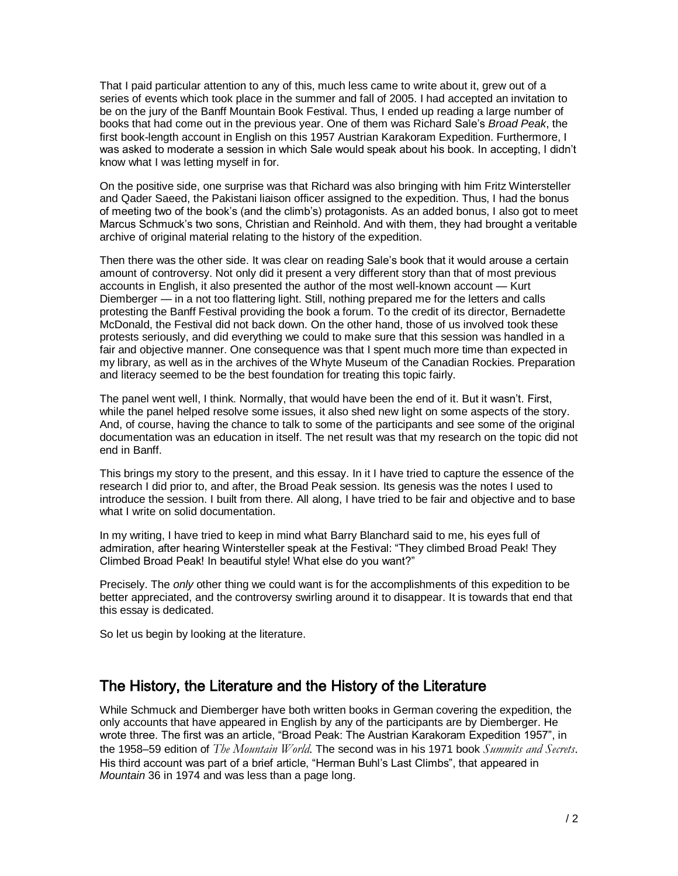That I paid particular attention to any of this, much less came to write about it, grew out of a series of events which took place in the summer and fall of 2005. I had accepted an invitation to be on the jury of the Banff Mountain Book Festival. Thus, I ended up reading a large number of books that had come out in the previous year. One of them was Richard Sale's *Broad Peak*, the first book-length account in English on this 1957 Austrian Karakoram Expedition. Furthermore, I was asked to moderate a session in which Sale would speak about his book. In accepting, I didn't know what I was letting myself in for.

On the positive side, one surprise was that Richard was also bringing with him Fritz Wintersteller and Qader Saeed, the Pakistani liaison officer assigned to the expedition. Thus, I had the bonus of meeting two of the book's (and the climb's) protagonists. As an added bonus, I also got to meet Marcus Schmuck's two sons, Christian and Reinhold. And with them, they had brought a veritable archive of original material relating to the history of the expedition.

Then there was the other side. It was clear on reading Sale's book that it would arouse a certain amount of controversy. Not only did it present a very different story than that of most previous accounts in English, it also presented the author of the most well-known account — Kurt Diemberger — in a not too flattering light. Still, nothing prepared me for the letters and calls protesting the Banff Festival providing the book a forum. To the credit of its director, Bernadette McDonald, the Festival did not back down. On the other hand, those of us involved took these protests seriously, and did everything we could to make sure that this session was handled in a fair and objective manner. One consequence was that I spent much more time than expected in my library, as well as in the archives of the Whyte Museum of the Canadian Rockies. Preparation and literacy seemed to be the best foundation for treating this topic fairly.

The panel went well, I think. Normally, that would have been the end of it. But it wasn't. First, while the panel helped resolve some issues, it also shed new light on some aspects of the story. And, of course, having the chance to talk to some of the participants and see some of the original documentation was an education in itself. The net result was that my research on the topic did not end in Banff.

This brings my story to the present, and this essay. In it I have tried to capture the essence of the research I did prior to, and after, the Broad Peak session. Its genesis was the notes I used to introduce the session. I built from there. All along, I have tried to be fair and objective and to base what I write on solid documentation.

In my writing, I have tried to keep in mind what Barry Blanchard said to me, his eyes full of admiration, after hearing Wintersteller speak at the Festival: "They climbed Broad Peak! They Climbed Broad Peak! In beautiful style! What else do you want?"

Precisely. The *only* other thing we could want is for the accomplishments of this expedition to be better appreciated, and the controversy swirling around it to disappear. It is towards that end that this essay is dedicated.

So let us begin by looking at the literature.

# The History, the Literature and the History of the Literature

While Schmuck and Diemberger have both written books in German covering the expedition, the only accounts that have appeared in English by any of the participants are by Diemberger. He wrote three. The first was an article, "Broad Peak: The Austrian Karakoram Expedition 1957", in the 1958–59 edition of *The Mountain World*. The second was in his 1971 book *Summits and Secrets*. His third account was part of a brief article, "Herman Buhl's Last Climbs", that appeared in *Mountain* 36 in 1974 and was less than a page long.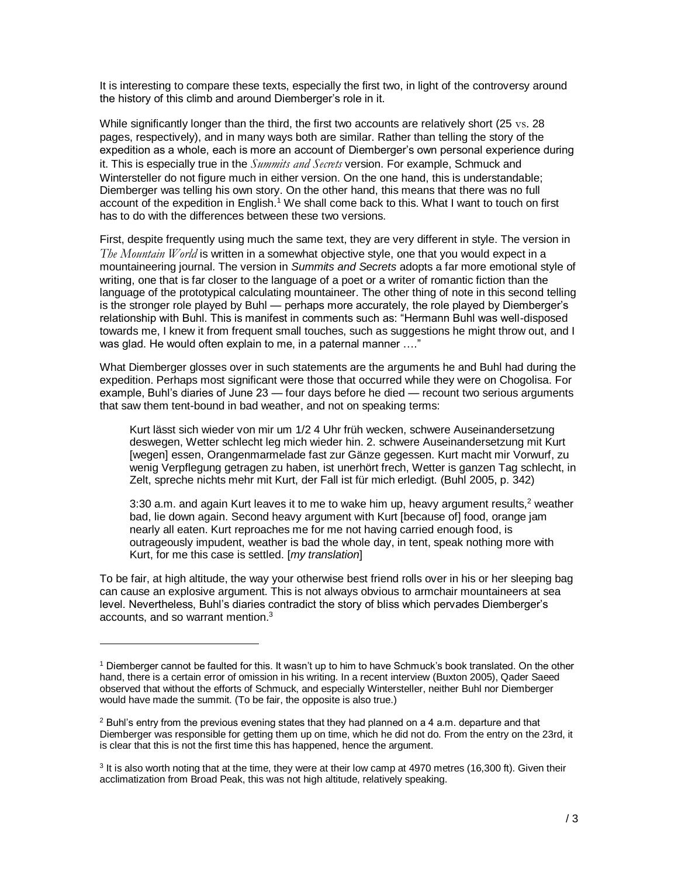It is interesting to compare these texts, especially the first two, in light of the controversy around the history of this climb and around Diemberger's role in it.

While significantly longer than the third, the first two accounts are relatively short (25 vs. 28) pages, respectively), and in many ways both are similar. Rather than telling the story of the expedition as a whole, each is more an account of Diemberger's own personal experience during it. This is especially true in the *Summits and Secrets* version. For example, Schmuck and Wintersteller do not figure much in either version. On the one hand, this is understandable; Diemberger was telling his own story. On the other hand, this means that there was no full account of the expedition in English.<sup>1</sup> We shall come back to this. What I want to touch on first has to do with the differences between these two versions.

First, despite frequently using much the same text, they are very different in style. The version in *The Mountain World* is written in a somewhat objective style, one that you would expect in a mountaineering journal. The version in *Summits and Secrets* adopts a far more emotional style of writing, one that is far closer to the language of a poet or a writer of romantic fiction than the language of the prototypical calculating mountaineer. The other thing of note in this second telling is the stronger role played by Buhl — perhaps more accurately, the role played by Diemberger's relationship with Buhl. This is manifest in comments such as: "Hermann Buhl was well-disposed towards me, I knew it from frequent small touches, such as suggestions he might throw out, and I was glad. He would often explain to me, in a paternal manner …."

What Diemberger glosses over in such statements are the arguments he and Buhl had during the expedition. Perhaps most significant were those that occurred while they were on Chogolisa. For example, Buhl's diaries of June 23 — four days before he died — recount two serious arguments that saw them tent-bound in bad weather, and not on speaking terms:

Kurt lässt sich wieder von mir um 1/2 4 Uhr früh wecken, schwere Auseinandersetzung deswegen, Wetter schlecht leg mich wieder hin. 2. schwere Auseinandersetzung mit Kurt [wegen] essen, Orangenmarmelade fast zur Gänze gegessen. Kurt macht mir Vorwurf, zu wenig Verpflegung getragen zu haben, ist unerhört frech, Wetter is ganzen Tag schlecht, in Zelt, spreche nichts mehr mit Kurt, der Fall ist für mich erledigt. (Buhl 2005, p. 342)

3:30 a.m. and again Kurt leaves it to me to wake him up, heavy argument results,<sup>2</sup> weather bad, lie down again. Second heavy argument with Kurt [because of] food, orange jam nearly all eaten. Kurt reproaches me for me not having carried enough food, is outrageously impudent, weather is bad the whole day, in tent, speak nothing more with Kurt, for me this case is settled. [*my translation*]

To be fair, at high altitude, the way your otherwise best friend rolls over in his or her sleeping bag can cause an explosive argument. This is not always obvious to armchair mountaineers at sea level. Nevertheless, Buhl's diaries contradict the story of bliss which pervades Diemberger's accounts, and so warrant mention.<sup>3</sup>

<sup>1</sup> Diemberger cannot be faulted for this. It wasn't up to him to have Schmuck's book translated. On the other hand, there is a certain error of omission in his writing. In a recent interview (Buxton 2005), Qader Saeed observed that without the efforts of Schmuck, and especially Wintersteller, neither Buhl nor Diemberger would have made the summit. (To be fair, the opposite is also true.)

 $<sup>2</sup>$  Buhl's entry from the previous evening states that they had planned on a 4 a.m. departure and that</sup> Diemberger was responsible for getting them up on time, which he did not do. From the entry on the 23rd, it is clear that this is not the first time this has happened, hence the argument.

<sup>&</sup>lt;sup>3</sup> It is also worth noting that at the time, they were at their low camp at 4970 metres (16,300 ft). Given their acclimatization from Broad Peak, this was not high altitude, relatively speaking.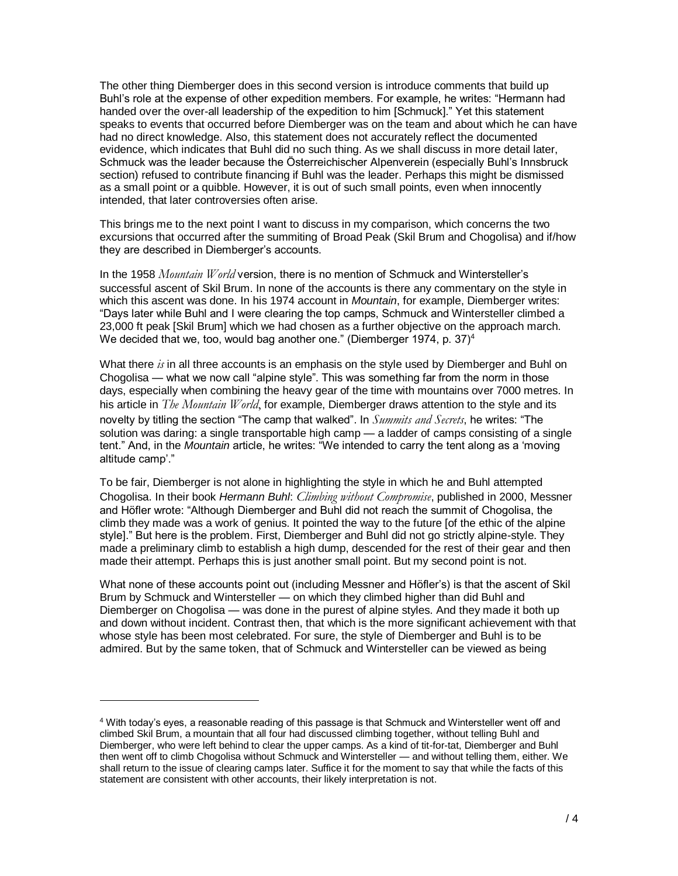The other thing Diemberger does in this second version is introduce comments that build up Buhl's role at the expense of other expedition members. For example, he writes: "Hermann had handed over the over-all leadership of the expedition to him [Schmuck]." Yet this statement speaks to events that occurred before Diemberger was on the team and about which he can have had no direct knowledge. Also, this statement does not accurately reflect the documented evidence, which indicates that Buhl did no such thing. As we shall discuss in more detail later, Schmuck was the leader because the Österreichischer Alpenverein (especially Buhl's Innsbruck section) refused to contribute financing if Buhl was the leader. Perhaps this might be dismissed as a small point or a quibble. However, it is out of such small points, even when innocently intended, that later controversies often arise.

This brings me to the next point I want to discuss in my comparison, which concerns the two excursions that occurred after the summiting of Broad Peak (Skil Brum and Chogolisa) and if/how they are described in Diemberger's accounts.

In the 1958 *Mountain World* version, there is no mention of Schmuck and Wintersteller's successful ascent of Skil Brum. In none of the accounts is there any commentary on the style in which this ascent was done. In his 1974 account in *Mountain*, for example, Diemberger writes: "Days later while Buhl and I were clearing the top camps, Schmuck and Wintersteller climbed a 23,000 ft peak [Skil Brum] which we had chosen as a further objective on the approach march. We decided that we, too, would bag another one." (Diemberger 1974, p. 37)<sup>4</sup>

What there *is* in all three accounts is an emphasis on the style used by Diemberger and Buhl on Chogolisa — what we now call "alpine style". This was something far from the norm in those days, especially when combining the heavy gear of the time with mountains over 7000 metres. In his article in *The Mountain World*, for example, Diemberger draws attention to the style and its novelty by titling the section "The camp that walked". In *Summits and Secrets*, he writes: "The solution was daring: a single transportable high camp — a ladder of camps consisting of a single tent." And, in the *Mountain* article, he writes: "We intended to carry the tent along as a 'moving altitude camp'."

To be fair, Diemberger is not alone in highlighting the style in which he and Buhl attempted Chogolisa. In their book *Hermann Buhl*: *Climbing without Compromise*, published in 2000, Messner and Höfler wrote: "Although Diemberger and Buhl did not reach the summit of Chogolisa, the climb they made was a work of genius. It pointed the way to the future [of the ethic of the alpine style]." But here is the problem. First, Diemberger and Buhl did not go strictly alpine-style. They made a preliminary climb to establish a high dump, descended for the rest of their gear and then made their attempt. Perhaps this is just another small point. But my second point is not.

What none of these accounts point out (including Messner and Höfler's) is that the ascent of Skil Brum by Schmuck and Wintersteller — on which they climbed higher than did Buhl and Diemberger on Chogolisa — was done in the purest of alpine styles. And they made it both up and down without incident. Contrast then, that which is the more significant achievement with that whose style has been most celebrated. For sure, the style of Diemberger and Buhl is to be admired. But by the same token, that of Schmuck and Wintersteller can be viewed as being

<sup>4</sup> With today's eyes, a reasonable reading of this passage is that Schmuck and Wintersteller went off and climbed Skil Brum, a mountain that all four had discussed climbing together, without telling Buhl and Diemberger, who were left behind to clear the upper camps. As a kind of tit-for-tat, Diemberger and Buhl then went off to climb Chogolisa without Schmuck and Wintersteller — and without telling them, either. We shall return to the issue of clearing camps later. Suffice it for the moment to say that while the facts of this statement are consistent with other accounts, their likely interpretation is not.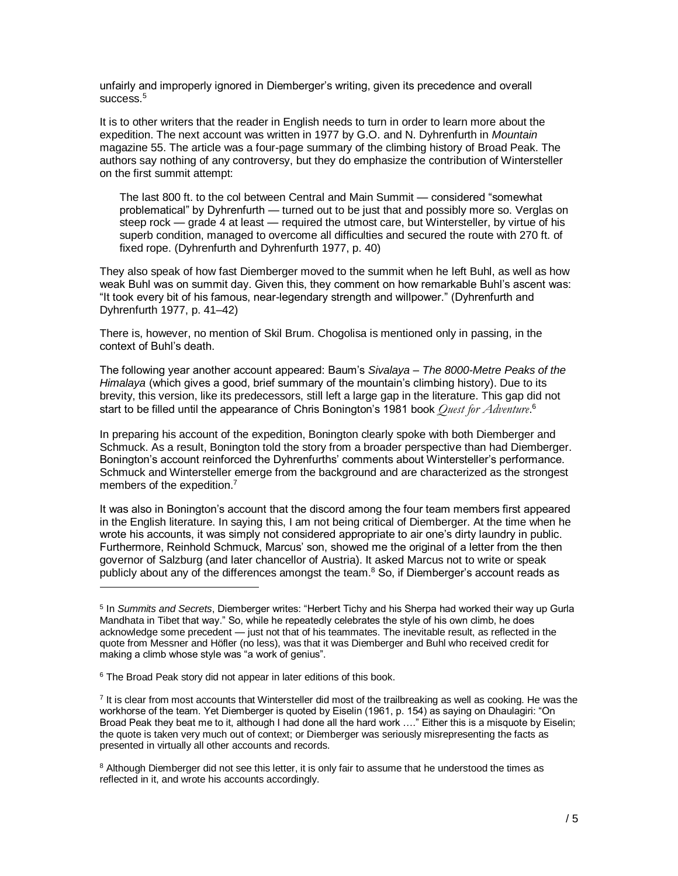unfairly and improperly ignored in Diemberger's writing, given its precedence and overall success. $^5\,$ 

It is to other writers that the reader in English needs to turn in order to learn more about the expedition. The next account was written in 1977 by G.O. and N. Dyhrenfurth in *Mountain* magazine 55. The article was a four-page summary of the climbing history of Broad Peak. The authors say nothing of any controversy, but they do emphasize the contribution of Wintersteller on the first summit attempt:

The last 800 ft. to the col between Central and Main Summit — considered "somewhat problematical" by Dyhrenfurth — turned out to be just that and possibly more so. Verglas on steep rock — grade 4 at least — required the utmost care, but Wintersteller, by virtue of his superb condition, managed to overcome all difficulties and secured the route with 270 ft. of fixed rope. (Dyhrenfurth and Dyhrenfurth 1977, p. 40)

They also speak of how fast Diemberger moved to the summit when he left Buhl, as well as how weak Buhl was on summit day. Given this, they comment on how remarkable Buhl's ascent was: "It took every bit of his famous, near-legendary strength and willpower." (Dyhrenfurth and Dyhrenfurth 1977, p. 41–42)

There is, however, no mention of Skil Brum. Chogolisa is mentioned only in passing, in the context of Buhl's death.

The following year another account appeared: Baum's *Sivalaya – The 8000-Metre Peaks of the Himalaya* (which gives a good, brief summary of the mountain's climbing history). Due to its brevity, this version, like its predecessors, still left a large gap in the literature. This gap did not start to be filled until the appearance of Chris Bonington's 1981 book *Quest for Adventure*. 6

In preparing his account of the expedition, Bonington clearly spoke with both Diemberger and Schmuck. As a result, Bonington told the story from a broader perspective than had Diemberger. Bonington's account reinforced the Dyhrenfurths' comments about Wintersteller's performance. Schmuck and Wintersteller emerge from the background and are characterized as the strongest members of the expedition.<sup>7</sup>

It was also in Bonington's account that the discord among the four team members first appeared in the English literature. In saying this, I am not being critical of Diemberger. At the time when he wrote his accounts, it was simply not considered appropriate to air one's dirty laundry in public. Furthermore, Reinhold Schmuck, Marcus' son, showed me the original of a letter from the then governor of Salzburg (and later chancellor of Austria). It asked Marcus not to write or speak publicly about any of the differences amongst the team. $8$  So, if Diemberger's account reads as

<sup>5</sup> In *Summits and Secrets*, Diemberger writes: "Herbert Tichy and his Sherpa had worked their way up Gurla Mandhata in Tibet that way." So, while he repeatedly celebrates the style of his own climb, he does acknowledge some precedent — just not that of his teammates. The inevitable result, as reflected in the quote from Messner and Höfler (no less), was that it was Diemberger and Buhl who received credit for making a climb whose style was "a work of genius".

 $6$  The Broad Peak story did not appear in later editions of this book.

<sup>&</sup>lt;sup>7</sup> It is clear from most accounts that Wintersteller did most of the trailbreaking as well as cooking. He was the workhorse of the team. Yet Diemberger is quoted by Eiselin (1961, p. 154) as saying on Dhaulagiri: "On Broad Peak they beat me to it, although I had done all the hard work …." Either this is a misquote by Eiselin; the quote is taken very much out of context; or Diemberger was seriously misrepresenting the facts as presented in virtually all other accounts and records.

<sup>&</sup>lt;sup>8</sup> Although Diemberger did not see this letter, it is only fair to assume that he understood the times as reflected in it, and wrote his accounts accordingly.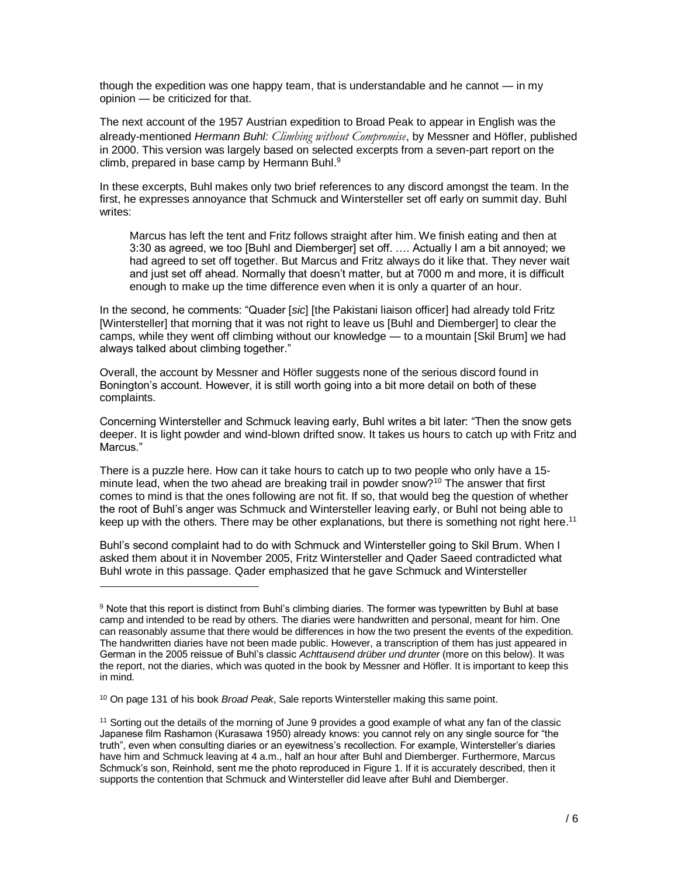though the expedition was one happy team, that is understandable and he cannot — in my opinion — be criticized for that.

The next account of the 1957 Austrian expedition to Broad Peak to appear in English was the already-mentioned *Hermann Buhl: Climbing without Compromise*, by Messner and Höfler, published in 2000. This version was largely based on selected excerpts from a seven-part report on the climb, prepared in base camp by Hermann Buhl.<sup>9</sup>

In these excerpts, Buhl makes only two brief references to any discord amongst the team. In the first, he expresses annoyance that Schmuck and Wintersteller set off early on summit day. Buhl writes:

Marcus has left the tent and Fritz follows straight after him. We finish eating and then at 3:30 as agreed, we too [Buhl and Diemberger] set off. …. Actually I am a bit annoyed; we had agreed to set off together. But Marcus and Fritz always do it like that. They never wait and just set off ahead. Normally that doesn't matter, but at 7000 m and more, it is difficult enough to make up the time difference even when it is only a quarter of an hour.

In the second, he comments: "Quader [*sic*] [the Pakistani liaison officer] had already told Fritz [Wintersteller] that morning that it was not right to leave us [Buhl and Diemberger] to clear the camps, while they went off climbing without our knowledge — to a mountain [Skil Brum] we had always talked about climbing together."

Overall, the account by Messner and Höfler suggests none of the serious discord found in Bonington's account. However, it is still worth going into a bit more detail on both of these complaints.

Concerning Wintersteller and Schmuck leaving early, Buhl writes a bit later: "Then the snow gets deeper. It is light powder and wind-blown drifted snow. It takes us hours to catch up with Fritz and Marcus."

There is a puzzle here. How can it take hours to catch up to two people who only have a 15 minute lead, when the two ahead are breaking trail in powder snow?<sup>10</sup> The answer that first comes to mind is that the ones following are not fit. If so, that would beg the question of whether the root of Buhl's anger was Schmuck and Wintersteller leaving early, or Buhl not being able to keep up with the others. There may be other explanations, but there is something not right here.<sup>11</sup>

Buhl's second complaint had to do with Schmuck and Wintersteller going to Skil Brum. When I asked them about it in November 2005, Fritz Wintersteller and Qader Saeed contradicted what Buhl wrote in this passage. Qader emphasized that he gave Schmuck and Wintersteller

<sup>&</sup>lt;sup>9</sup> Note that this report is distinct from Buhl's climbing diaries. The former was typewritten by Buhl at base camp and intended to be read by others. The diaries were handwritten and personal, meant for him. One can reasonably assume that there would be differences in how the two present the events of the expedition. The handwritten diaries have not been made public. However, a transcription of them has just appeared in German in the 2005 reissue of Buhl's classic *Achttausend drüber und drunter* (more on this below). It was the report, not the diaries, which was quoted in the book by Messner and Höfler. It is important to keep this in mind.

<sup>10</sup> On page 131 of his book *Broad Peak*, Sale reports Wintersteller making this same point.

<sup>&</sup>lt;sup>11</sup> Sorting out the details of the morning of June 9 provides a good example of what any fan of the classic Japanese film Rashamon (Kurasawa 1950) already knows: you cannot rely on any single source for "the truth", even when consulting diaries or an eyewitness's recollection. For example, Wintersteller's diaries have him and Schmuck leaving at 4 a.m., half an hour after Buhl and Diemberger. Furthermore, Marcus Schmuck's son, Reinhold, sent me the photo reproduced in [Figure 1.](#page-16-0) If it is accurately described, then it supports the contention that Schmuck and Wintersteller did leave after Buhl and Diemberger.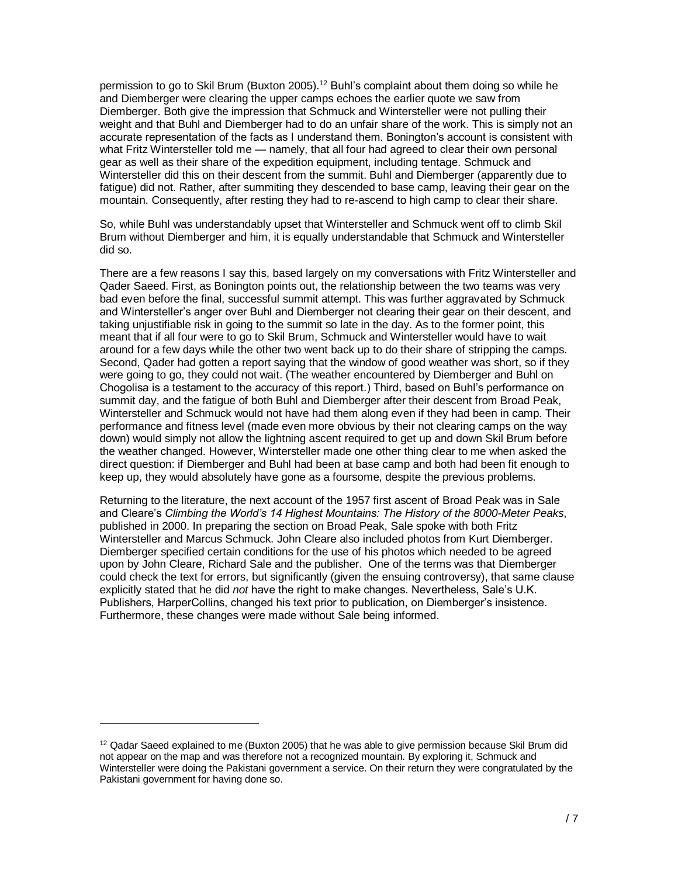permission to go to Skil Brum (Buxton 2005).<sup>12</sup> Buhl's complaint about them doing so while he and Diemberger were clearing the upper camps echoes the earlier quote we saw from Diemberger. Both give the impression that Schmuck and Wintersteller were not pulling their weight and that Buhl and Diemberger had to do an unfair share of the work. This is simply not an accurate representation of the facts as I understand them. Bonington's account is consistent with what Fritz Wintersteller told me — namely, that all four had agreed to clear their own personal gear as well as their share of the expedition equipment, including tentage. Schmuck and Wintersteller did this on their descent from the summit. Buhl and Diemberger (apparently due to fatigue) did not. Rather, after summiting they descended to base camp, leaving their gear on the mountain. Consequently, after resting they had to re-ascend to high camp to clear their share.

So, while Buhl was understandably upset that Wintersteller and Schmuck went off to climb Skil Brum without Diemberger and him, it is equally understandable that Schmuck and Wintersteller did so.

There are a few reasons I say this, based largely on my conversations with Fritz Wintersteller and Qader Saeed. First, as Bonington points out, the relationship between the two teams was very bad even before the final, successful summit attempt. This was further aggravated by Schmuck and Wintersteller's anger over Buhl and Diemberger not clearing their gear on their descent, and taking unjustifiable risk in going to the summit so late in the day. As to the former point, this meant that if all four were to go to Skil Brum, Schmuck and Wintersteller would have to wait around for a few days while the other two went back up to do their share of stripping the camps. Second, Qader had gotten a report saying that the window of good weather was short, so if they were going to go, they could not wait. (The weather encountered by Diemberger and Buhl on Chogolisa is a testament to the accuracy of this report.) Third, based on Buhl's performance on summit day, and the fatigue of both Buhl and Diemberger after their descent from Broad Peak, Wintersteller and Schmuck would not have had them along even if they had been in camp. Their performance and fitness level (made even more obvious by their not clearing camps on the way down) would simply not allow the lightning ascent required to get up and down Skil Brum before the weather changed. However, Wintersteller made one other thing clear to me when asked the direct question: if Diemberger and Buhl had been at base camp and both had been fit enough to keep up, they would absolutely have gone as a foursome, despite the previous problems.

Returning to the literature, the next account of the 1957 first ascent of Broad Peak was in Sale and Cleare's *Climbing the World's 14 Highest Mountains: The History of the 8000-Meter Peaks*, published in 2000. In preparing the section on Broad Peak, Sale spoke with both Fritz Wintersteller and Marcus Schmuck. John Cleare also included photos from Kurt Diemberger. Diemberger specified certain conditions for the use of his photos which needed to be agreed upon by John Cleare, Richard Sale and the publisher. One of the terms was that Diemberger could check the text for errors, but significantly (given the ensuing controversy), that same clause explicitly stated that he did *not* have the right to make changes. Nevertheless, Sale's U.K. Publishers, HarperCollins, changed his text prior to publication, on Diemberger's insistence. Furthermore, these changes were made without Sale being informed.

 $12$  Qadar Saeed explained to me (Buxton 2005) that he was able to give permission because Skil Brum did not appear on the map and was therefore not a recognized mountain. By exploring it, Schmuck and Wintersteller were doing the Pakistani government a service. On their return they were congratulated by the Pakistani government for having done so.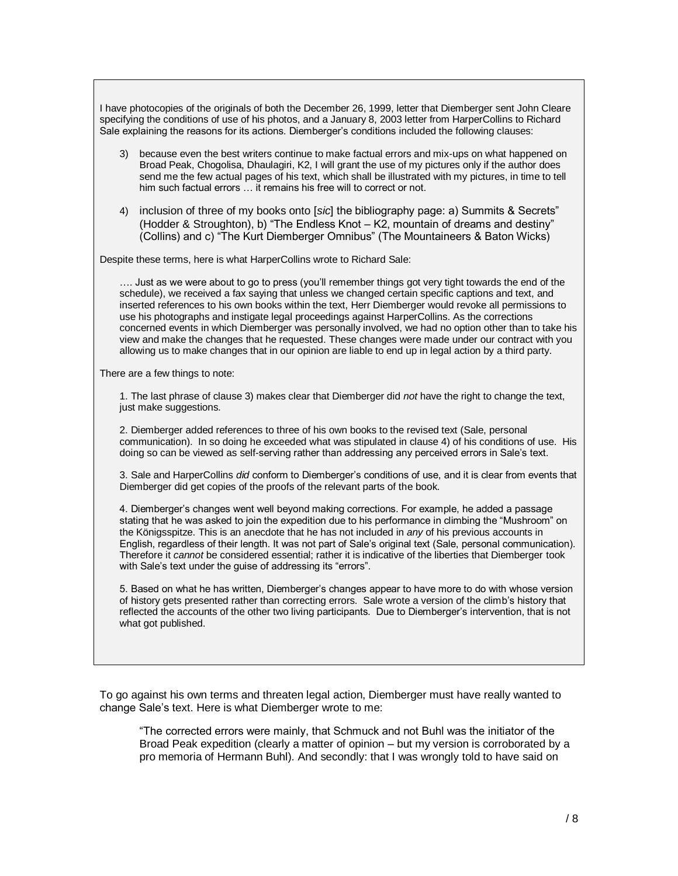I have photocopies of the originals of both the December 26, 1999, letter that Diemberger sent John Cleare specifying the conditions of use of his photos, and a January 8, 2003 letter from HarperCollins to Richard Sale explaining the reasons for its actions. Diemberger's conditions included the following clauses:

- 3) because even the best writers continue to make factual errors and mix-ups on what happened on Broad Peak, Chogolisa, Dhaulagiri, K2, I will grant the use of my pictures only if the author does send me the few actual pages of his text, which shall be illustrated with my pictures, in time to tell him such factual errors … it remains his free will to correct or not.
- 4) inclusion of three of my books onto [*sic*] the bibliography page: a) Summits & Secrets" (Hodder & Stroughton), b) "The Endless Knot – K2, mountain of dreams and destiny" (Collins) and c) "The Kurt Diemberger Omnibus" (The Mountaineers & Baton Wicks)

Despite these terms, here is what HarperCollins wrote to Richard Sale:

…. Just as we were about to go to press (you'll remember things got very tight towards the end of the schedule), we received a fax saying that unless we changed certain specific captions and text, and inserted references to his own books within the text, Herr Diemberger would revoke all permissions to use his photographs and instigate legal proceedings against HarperCollins. As the corrections concerned events in which Diemberger was personally involved, we had no option other than to take his view and make the changes that he requested. These changes were made under our contract with you allowing us to make changes that in our opinion are liable to end up in legal action by a third party.

There are a few things to note:

1. The last phrase of clause 3) makes clear that Diemberger did *not* have the right to change the text, just make suggestions.

2. Diemberger added references to three of his own books to the revised text (Sale, personal communication). In so doing he exceeded what was stipulated in clause 4) of his conditions of use. His doing so can be viewed as self-serving rather than addressing any perceived errors in Sale's text.

3. Sale and HarperCollins *did* conform to Diemberger's conditions of use, and it is clear from events that Diemberger did get copies of the proofs of the relevant parts of the book.

4. Diemberger's changes went well beyond making corrections. For example, he added a passage stating that he was asked to join the expedition due to his performance in climbing the "Mushroom" on the Königsspitze. This is an anecdote that he has not included in *any* of his previous accounts in English, regardless of their length. It was not part of Sale's original text (Sale, personal communication). Therefore it *cannot* be considered essential; rather it is indicative of the liberties that Diemberger took with Sale's text under the guise of addressing its "errors".

5. Based on what he has written, Diemberger's changes appear to have more to do with whose version of history gets presented rather than correcting errors. Sale wrote a version of the climb's history that reflected the accounts of the other two living participants. Due to Diemberger's intervention, that is not what got published.

To go against his own terms and threaten legal action, Diemberger must have really wanted to change Sale's text. Here is what Diemberger wrote to me:

"The corrected errors were mainly, that Schmuck and not Buhl was the initiator of the Broad Peak expedition (clearly a matter of opinion – but my version is corroborated by a pro memoria of Hermann Buhl). And secondly: that I was wrongly told to have said on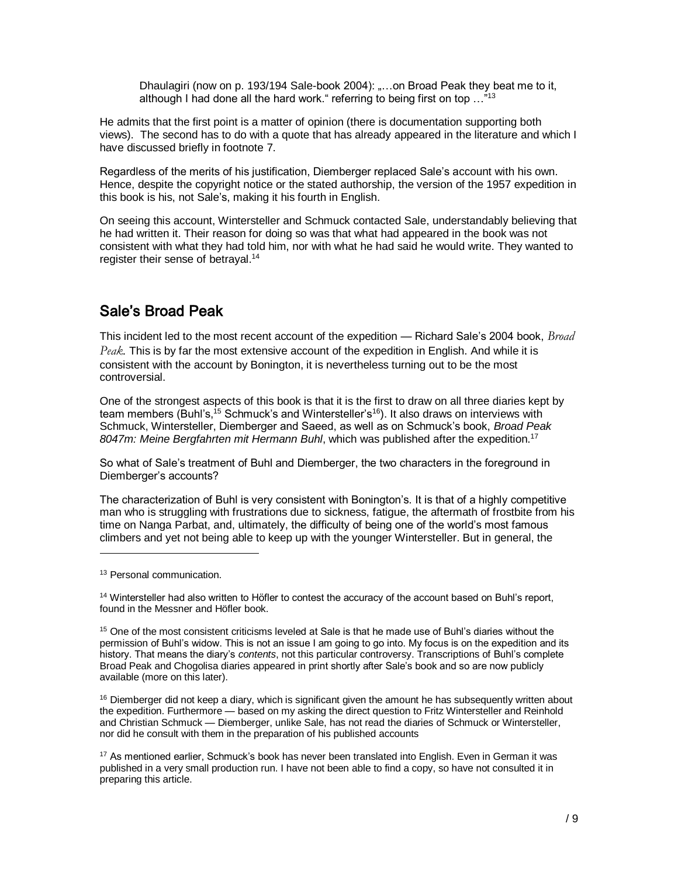Dhaulagiri (now on p. 193/194 Sale-book 2004): "...on Broad Peak they beat me to it, although I had done all the hard work." referring to being first on top  $\ldots$ <sup>"13</sup>

He admits that the first point is a matter of opinion (there is documentation supporting both views). The second has to do with a quote that has already appeared in the literature and which I have discussed briefly in footnote 7.

Regardless of the merits of his justification, Diemberger replaced Sale's account with his own. Hence, despite the copyright notice or the stated authorship, the version of the 1957 expedition in this book is his, not Sale's, making it his fourth in English.

On seeing this account, Wintersteller and Schmuck contacted Sale, understandably believing that he had written it. Their reason for doing so was that what had appeared in the book was not consistent with what they had told him, nor with what he had said he would write. They wanted to register their sense of betrayal.<sup>14</sup>

# Sale's Broad Peak

This incident led to the most recent account of the expedition — Richard Sale's 2004 book, *Broad Peak.* This is by far the most extensive account of the expedition in English. And while it is consistent with the account by Bonington, it is nevertheless turning out to be the most controversial.

One of the strongest aspects of this book is that it is the first to draw on all three diaries kept by team members (Buhl's,<sup>15</sup> Schmuck's and Wintersteller's<sup>16</sup>). It also draws on interviews with Schmuck, Wintersteller, Diemberger and Saeed, as well as on Schmuck's book, *Broad Peak 8047m: Meine Bergfahrten mit Hermann Buhl*, which was published after the expedition.<sup>17</sup>

So what of Sale's treatment of Buhl and Diemberger, the two characters in the foreground in Diemberger's accounts?

The characterization of Buhl is very consistent with Bonington's. It is that of a highly competitive man who is struggling with frustrations due to sickness, fatigue, the aftermath of frostbite from his time on Nanga Parbat, and, ultimately, the difficulty of being one of the world's most famous climbers and yet not being able to keep up with the younger Wintersteller. But in general, the

l

 $16$  Diemberger did not keep a diary, which is significant given the amount he has subsequently written about the expedition. Furthermore — based on my asking the direct question to Fritz Wintersteller and Reinhold and Christian Schmuck — Diemberger, unlike Sale, has not read the diaries of Schmuck or Wintersteller, nor did he consult with them in the preparation of his published accounts

<sup>&</sup>lt;sup>13</sup> Personal communication.

<sup>14</sup> Wintersteller had also written to Höfler to contest the accuracy of the account based on Buhl's report, found in the Messner and Höfler book.

<sup>&</sup>lt;sup>15</sup> One of the most consistent criticisms leveled at Sale is that he made use of Buhl's diaries without the permission of Buhl's widow. This is not an issue I am going to go into. My focus is on the expedition and its history. That means the diary's *contents*, not this particular controversy. Transcriptions of Buhl's complete Broad Peak and Chogolisa diaries appeared in print shortly after Sale's book and so are now publicly available (more on this later).

<sup>17</sup> As mentioned earlier, Schmuck's book has never been translated into English. Even in German it was published in a very small production run. I have not been able to find a copy, so have not consulted it in preparing this article.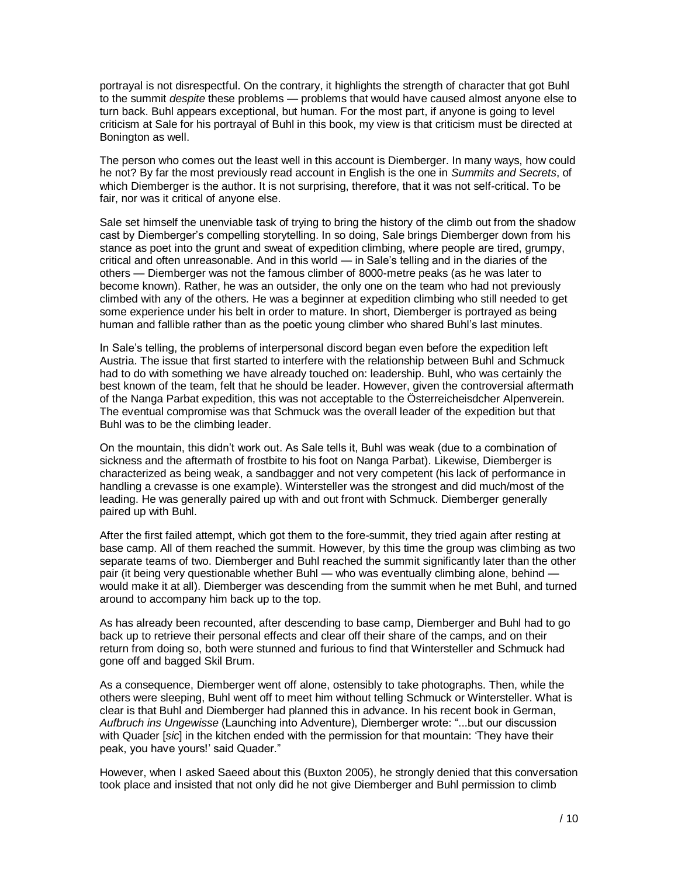portrayal is not disrespectful. On the contrary, it highlights the strength of character that got Buhl to the summit *despite* these problems — problems that would have caused almost anyone else to turn back. Buhl appears exceptional, but human. For the most part, if anyone is going to level criticism at Sale for his portrayal of Buhl in this book, my view is that criticism must be directed at Bonington as well.

The person who comes out the least well in this account is Diemberger. In many ways, how could he not? By far the most previously read account in English is the one in *Summits and Secrets*, of which Diemberger is the author. It is not surprising, therefore, that it was not self-critical. To be fair, nor was it critical of anyone else.

Sale set himself the unenviable task of trying to bring the history of the climb out from the shadow cast by Diemberger's compelling storytelling. In so doing, Sale brings Diemberger down from his stance as poet into the grunt and sweat of expedition climbing, where people are tired, grumpy, critical and often unreasonable. And in this world — in Sale's telling and in the diaries of the others — Diemberger was not the famous climber of 8000-metre peaks (as he was later to become known). Rather, he was an outsider, the only one on the team who had not previously climbed with any of the others. He was a beginner at expedition climbing who still needed to get some experience under his belt in order to mature. In short, Diemberger is portrayed as being human and fallible rather than as the poetic young climber who shared Buhl's last minutes.

In Sale's telling, the problems of interpersonal discord began even before the expedition left Austria. The issue that first started to interfere with the relationship between Buhl and Schmuck had to do with something we have already touched on: leadership. Buhl, who was certainly the best known of the team, felt that he should be leader. However, given the controversial aftermath of the Nanga Parbat expedition, this was not acceptable to the Österreicheisdcher Alpenverein. The eventual compromise was that Schmuck was the overall leader of the expedition but that Buhl was to be the climbing leader.

On the mountain, this didn't work out. As Sale tells it, Buhl was weak (due to a combination of sickness and the aftermath of frostbite to his foot on Nanga Parbat). Likewise, Diemberger is characterized as being weak, a sandbagger and not very competent (his lack of performance in handling a crevasse is one example). Wintersteller was the strongest and did much/most of the leading. He was generally paired up with and out front with Schmuck. Diemberger generally paired up with Buhl.

After the first failed attempt, which got them to the fore-summit, they tried again after resting at base camp. All of them reached the summit. However, by this time the group was climbing as two separate teams of two. Diemberger and Buhl reached the summit significantly later than the other pair (it being very questionable whether Buhl — who was eventually climbing alone, behind would make it at all). Diemberger was descending from the summit when he met Buhl, and turned around to accompany him back up to the top.

As has already been recounted, after descending to base camp, Diemberger and Buhl had to go back up to retrieve their personal effects and clear off their share of the camps, and on their return from doing so, both were stunned and furious to find that Wintersteller and Schmuck had gone off and bagged Skil Brum.

As a consequence, Diemberger went off alone, ostensibly to take photographs. Then, while the others were sleeping, Buhl went off to meet him without telling Schmuck or Wintersteller. What is clear is that Buhl and Diemberger had planned this in advance. In his recent book in German, *Aufbruch ins Ungewisse* (Launching into Adventure), Diemberger wrote: "...but our discussion with Quader [*sic*] in the kitchen ended with the permission for that mountain: 'They have their peak, you have yours!' said Quader."

However, when I asked Saeed about this (Buxton 2005), he strongly denied that this conversation took place and insisted that not only did he not give Diemberger and Buhl permission to climb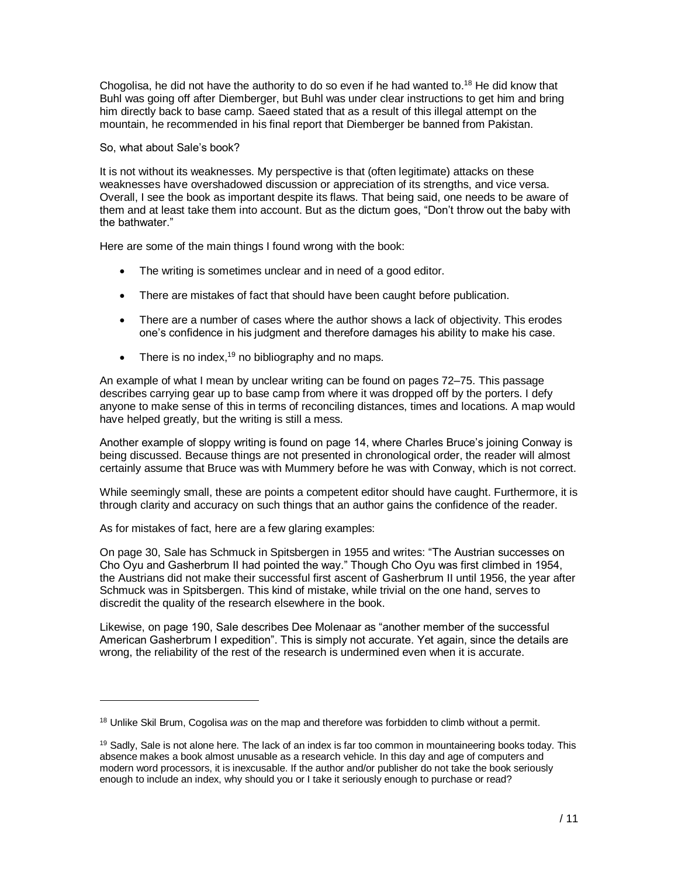Chogolisa, he did not have the authority to do so even if he had wanted to.<sup>18</sup> He did know that Buhl was going off after Diemberger, but Buhl was under clear instructions to get him and bring him directly back to base camp. Saeed stated that as a result of this illegal attempt on the mountain, he recommended in his final report that Diemberger be banned from Pakistan.

#### So, what about Sale's book?

It is not without its weaknesses. My perspective is that (often legitimate) attacks on these weaknesses have overshadowed discussion or appreciation of its strengths, and vice versa. Overall, I see the book as important despite its flaws. That being said, one needs to be aware of them and at least take them into account. But as the dictum goes, "Don't throw out the baby with the bathwater."

Here are some of the main things I found wrong with the book:

- The writing is sometimes unclear and in need of a good editor.
- There are mistakes of fact that should have been caught before publication.
- There are a number of cases where the author shows a lack of objectivity. This erodes one's confidence in his judgment and therefore damages his ability to make his case.
- There is no index,<sup>19</sup> no bibliography and no maps.

An example of what I mean by unclear writing can be found on pages 72–75. This passage describes carrying gear up to base camp from where it was dropped off by the porters. I defy anyone to make sense of this in terms of reconciling distances, times and locations. A map would have helped greatly, but the writing is still a mess.

Another example of sloppy writing is found on page 14, where Charles Bruce's joining Conway is being discussed. Because things are not presented in chronological order, the reader will almost certainly assume that Bruce was with Mummery before he was with Conway, which is not correct.

While seemingly small, these are points a competent editor should have caught. Furthermore, it is through clarity and accuracy on such things that an author gains the confidence of the reader.

As for mistakes of fact, here are a few glaring examples:

l

On page 30, Sale has Schmuck in Spitsbergen in 1955 and writes: "The Austrian successes on Cho Oyu and Gasherbrum II had pointed the way." Though Cho Oyu was first climbed in 1954, the Austrians did not make their successful first ascent of Gasherbrum II until 1956, the year after Schmuck was in Spitsbergen. This kind of mistake, while trivial on the one hand, serves to discredit the quality of the research elsewhere in the book.

Likewise, on page 190, Sale describes Dee Molenaar as "another member of the successful American Gasherbrum I expedition". This is simply not accurate. Yet again, since the details are wrong, the reliability of the rest of the research is undermined even when it is accurate.

<sup>18</sup> Unlike Skil Brum, Cogolisa *was* on the map and therefore was forbidden to climb without a permit.

<sup>&</sup>lt;sup>19</sup> Sadly, Sale is not alone here. The lack of an index is far too common in mountaineering books today. This absence makes a book almost unusable as a research vehicle. In this day and age of computers and modern word processors, it is inexcusable. If the author and/or publisher do not take the book seriously enough to include an index, why should you or I take it seriously enough to purchase or read?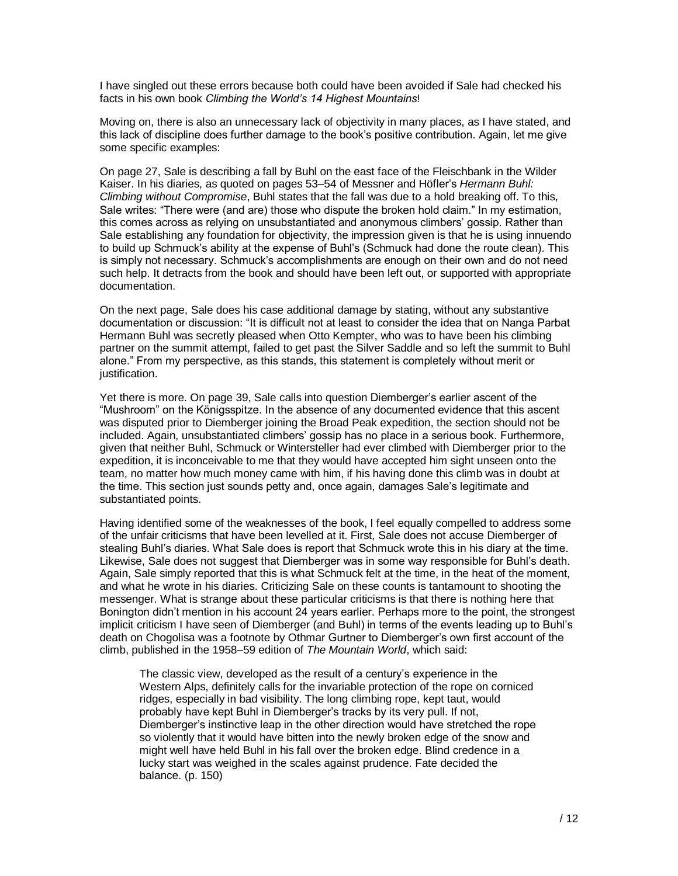I have singled out these errors because both could have been avoided if Sale had checked his facts in his own book *Climbing the World's 14 Highest Mountains*!

Moving on, there is also an unnecessary lack of objectivity in many places, as I have stated, and this lack of discipline does further damage to the book's positive contribution. Again, let me give some specific examples:

On page 27, Sale is describing a fall by Buhl on the east face of the Fleischbank in the Wilder Kaiser. In his diaries, as quoted on pages 53–54 of Messner and Höfler's *Hermann Buhl: Climbing without Compromise*, Buhl states that the fall was due to a hold breaking off. To this, Sale writes: "There were (and are) those who dispute the broken hold claim." In my estimation, this comes across as relying on unsubstantiated and anonymous climbers' gossip. Rather than Sale establishing any foundation for objectivity, the impression given is that he is using innuendo to build up Schmuck's ability at the expense of Buhl's (Schmuck had done the route clean). This is simply not necessary. Schmuck's accomplishments are enough on their own and do not need such help. It detracts from the book and should have been left out, or supported with appropriate documentation.

On the next page, Sale does his case additional damage by stating, without any substantive documentation or discussion: "It is difficult not at least to consider the idea that on Nanga Parbat Hermann Buhl was secretly pleased when Otto Kempter, who was to have been his climbing partner on the summit attempt, failed to get past the Silver Saddle and so left the summit to Buhl alone." From my perspective, as this stands, this statement is completely without merit or justification.

Yet there is more. On page 39, Sale calls into question Diemberger's earlier ascent of the "Mushroom" on the Königsspitze. In the absence of any documented evidence that this ascent was disputed prior to Diemberger joining the Broad Peak expedition, the section should not be included. Again, unsubstantiated climbers' gossip has no place in a serious book. Furthermore, given that neither Buhl, Schmuck or Wintersteller had ever climbed with Diemberger prior to the expedition, it is inconceivable to me that they would have accepted him sight unseen onto the team, no matter how much money came with him, if his having done this climb was in doubt at the time. This section just sounds petty and, once again, damages Sale's legitimate and substantiated points.

Having identified some of the weaknesses of the book, I feel equally compelled to address some of the unfair criticisms that have been levelled at it. First, Sale does not accuse Diemberger of stealing Buhl's diaries. What Sale does is report that Schmuck wrote this in his diary at the time. Likewise, Sale does not suggest that Diemberger was in some way responsible for Buhl's death. Again, Sale simply reported that this is what Schmuck felt at the time, in the heat of the moment, and what he wrote in his diaries. Criticizing Sale on these counts is tantamount to shooting the messenger. What is strange about these particular criticisms is that there is nothing here that Bonington didn't mention in his account 24 years earlier. Perhaps more to the point, the strongest implicit criticism I have seen of Diemberger (and Buhl) in terms of the events leading up to Buhl's death on Chogolisa was a footnote by Othmar Gurtner to Diemberger's own first account of the climb, published in the 1958–59 edition of *The Mountain World*, which said:

The classic view, developed as the result of a century's experience in the Western Alps, definitely calls for the invariable protection of the rope on corniced ridges, especially in bad visibility. The long climbing rope, kept taut, would probably have kept Buhl in Diemberger's tracks by its very pull. If not, Diemberger's instinctive leap in the other direction would have stretched the rope so violently that it would have bitten into the newly broken edge of the snow and might well have held Buhl in his fall over the broken edge. Blind credence in a lucky start was weighed in the scales against prudence. Fate decided the balance. (p. 150)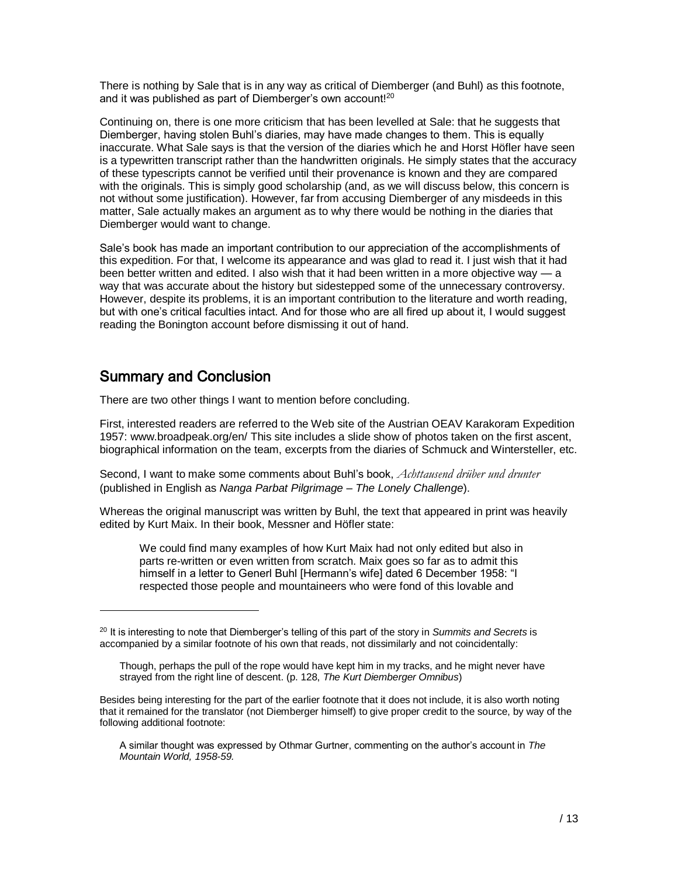There is nothing by Sale that is in any way as critical of Diemberger (and Buhl) as this footnote, and it was published as part of Diemberger's own account! $^{\mathrm{20}}$ 

Continuing on, there is one more criticism that has been levelled at Sale: that he suggests that Diemberger, having stolen Buhl's diaries, may have made changes to them. This is equally inaccurate. What Sale says is that the version of the diaries which he and Horst Höfler have seen is a typewritten transcript rather than the handwritten originals. He simply states that the accuracy of these typescripts cannot be verified until their provenance is known and they are compared with the originals. This is simply good scholarship (and, as we will discuss below, this concern is not without some justification). However, far from accusing Diemberger of any misdeeds in this matter, Sale actually makes an argument as to why there would be nothing in the diaries that Diemberger would want to change.

Sale's book has made an important contribution to our appreciation of the accomplishments of this expedition. For that, I welcome its appearance and was glad to read it. I just wish that it had been better written and edited. I also wish that it had been written in a more objective way — a way that was accurate about the history but sidestepped some of the unnecessary controversy. However, despite its problems, it is an important contribution to the literature and worth reading, but with one's critical faculties intact. And for those who are all fired up about it, I would suggest reading the Bonington account before dismissing it out of hand.

# Summary and Conclusion

l

There are two other things I want to mention before concluding.

First, interested readers are referred to the Web site of the Austrian OEAV Karakoram Expedition 1957: [www.broadpeak.org/en/](http://www.broadpeak.org/en/) This site includes a slide show of photos taken on the first ascent, biographical information on the team, excerpts from the diaries of Schmuck and Wintersteller, etc.

Second, I want to make some comments about Buhl's book, *Achttausend drüber und drunter* (published in English as *Nanga Parbat Pilgrimage – The Lonely Challenge*).

Whereas the original manuscript was written by Buhl, the text that appeared in print was heavily edited by Kurt Maix. In their book, Messner and Höfler state:

We could find many examples of how Kurt Maix had not only edited but also in parts re-written or even written from scratch. Maix goes so far as to admit this himself in a letter to Generl Buhl [Hermann's wife] dated 6 December 1958: "I respected those people and mountaineers who were fond of this lovable and

<sup>20</sup> It is interesting to note that Diemberger's telling of this part of the story in *Summits and Secrets* is accompanied by a similar footnote of his own that reads, not dissimilarly and not coincidentally:

Though, perhaps the pull of the rope would have kept him in my tracks, and he might never have strayed from the right line of descent. (p. 128, *The Kurt Diemberger Omnibus*)

Besides being interesting for the part of the earlier footnote that it does not include, it is also worth noting that it remained for the translator (not Diemberger himself) to give proper credit to the source, by way of the following additional footnote:

A similar thought was expressed by Othmar Gurtner, commenting on the author's account in *The Mountain World, 1958-59.*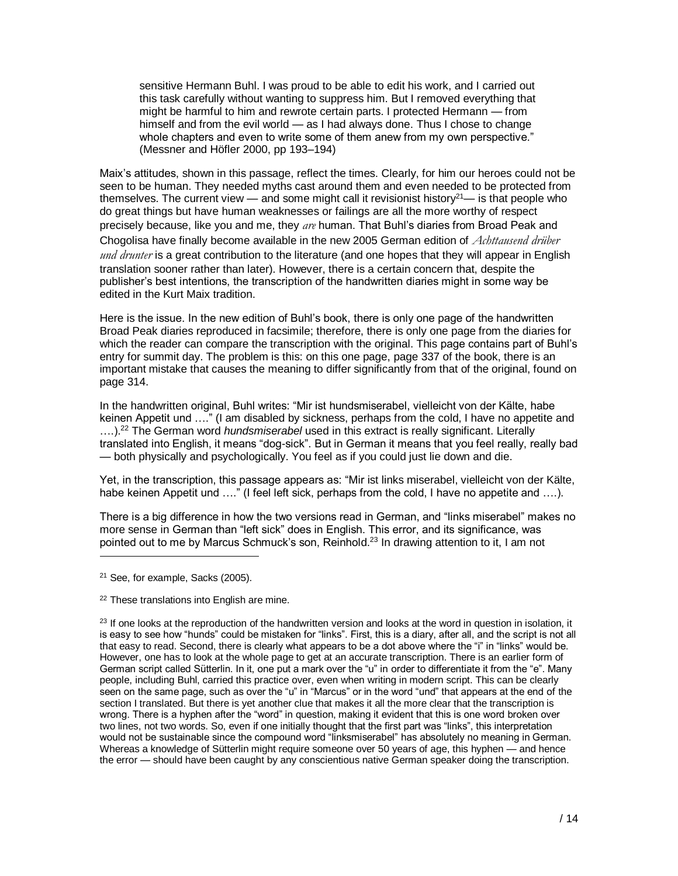sensitive Hermann Buhl. I was proud to be able to edit his work, and I carried out this task carefully without wanting to suppress him. But I removed everything that might be harmful to him and rewrote certain parts. I protected Hermann — from himself and from the evil world — as I had always done. Thus I chose to change whole chapters and even to write some of them anew from my own perspective." (Messner and Höfler 2000, pp 193–194)

Maix's attitudes, shown in this passage, reflect the times. Clearly, for him our heroes could not be seen to be human. They needed myths cast around them and even needed to be protected from themselves. The current view — and some might call it revisionist history $2^{1}$ — is that people who do great things but have human weaknesses or failings are all the more worthy of respect precisely because, like you and me, they *are* human. That Buhl's diaries from Broad Peak and Chogolisa have finally become available in the new 2005 German edition of *Achttausend drüber und drunter* is a great contribution to the literature (and one hopes that they will appear in English translation sooner rather than later). However, there is a certain concern that, despite the publisher's best intentions, the transcription of the handwritten diaries might in some way be edited in the Kurt Maix tradition.

Here is the issue. In the new edition of Buhl's book, there is only one page of the handwritten Broad Peak diaries reproduced in facsimile; therefore, there is only one page from the diaries for which the reader can compare the transcription with the original. This page contains part of Buhl's entry for summit day. The problem is this: on this one page, page 337 of the book, there is an important mistake that causes the meaning to differ significantly from that of the original, found on page 314.

In the handwritten original, Buhl writes: "Mir ist hundsmiserabel, vielleicht von der Kälte, habe keinen Appetit und …." (I am disabled by sickness, perhaps from the cold, I have no appetite and ….).<sup>22</sup> The German word *hundsmiserabel* used in this extract is really significant. Literally translated into English, it means "dog-sick". But in German it means that you feel really, really bad — both physically and psychologically. You feel as if you could just lie down and die.

Yet, in the transcription, this passage appears as: "Mir ist links miserabel, vielleicht von der Kälte, habe keinen Appetit und ...." (I feel left sick, perhaps from the cold, I have no appetite and ....).

There is a big difference in how the two versions read in German, and "links miserabel" makes no more sense in German than "left sick" does in English. This error, and its significance, was pointed out to me by Marcus Schmuck's son, Reinhold.<sup>23</sup> In drawing attention to it, I am not

<sup>21</sup> See, for example, Sacks (2005).

l

<sup>22</sup> These translations into English are mine.

 $^{23}$  If one looks at the reproduction of the handwritten version and looks at the word in question in isolation, it is easy to see how "hunds" could be mistaken for "links". First, this is a diary, after all, and the script is not all that easy to read. Second, there is clearly what appears to be a dot above where the "i" in "links" would be. However, one has to look at the whole page to get at an accurate transcription. There is an earlier form of German script called Sütterlin. In it, one put a mark over the "u" in order to differentiate it from the "e". Many people, including Buhl, carried this practice over, even when writing in modern script. This can be clearly seen on the same page, such as over the "u" in "Marcus" or in the word "und" that appears at the end of the section I translated. But there is yet another clue that makes it all the more clear that the transcription is wrong. There is a hyphen after the "word" in question, making it evident that this is one word broken over two lines, not two words. So, even if one initially thought that the first part was "links", this interpretation would not be sustainable since the compound word "linksmiserabel" has absolutely no meaning in German. Whereas a knowledge of Sütterlin might require someone over 50 years of age, this hyphen — and hence the error — should have been caught by any conscientious native German speaker doing the transcription.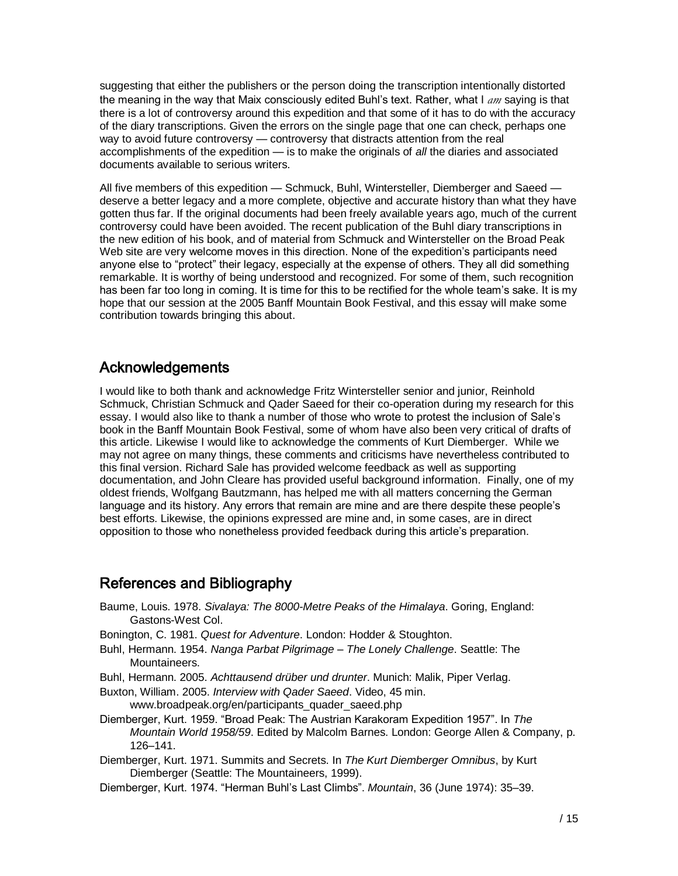suggesting that either the publishers or the person doing the transcription intentionally distorted the meaning in the way that Maix consciously edited Buhl's text. Rather, what I *am* saying is that there is a lot of controversy around this expedition and that some of it has to do with the accuracy of the diary transcriptions. Given the errors on the single page that one can check, perhaps one way to avoid future controversy — controversy that distracts attention from the real accomplishments of the expedition — is to make the originals of *all* the diaries and associated documents available to serious writers.

All five members of this expedition — Schmuck, Buhl, Wintersteller, Diemberger and Saeed deserve a better legacy and a more complete, objective and accurate history than what they have gotten thus far. If the original documents had been freely available years ago, much of the current controversy could have been avoided. The recent publication of the Buhl diary transcriptions in the new edition of his book, and of material from Schmuck and Wintersteller on the Broad Peak Web site are very welcome moves in this direction. None of the expedition's participants need anyone else to "protect" their legacy, especially at the expense of others. They all did something remarkable. It is worthy of being understood and recognized. For some of them, such recognition has been far too long in coming. It is time for this to be rectified for the whole team's sake. It is my hope that our session at the 2005 Banff Mountain Book Festival, and this essay will make some contribution towards bringing this about.

# Acknowledgements

I would like to both thank and acknowledge Fritz Wintersteller senior and junior, Reinhold Schmuck, Christian Schmuck and Qader Saeed for their co-operation during my research for this essay. I would also like to thank a number of those who wrote to protest the inclusion of Sale's book in the Banff Mountain Book Festival, some of whom have also been very critical of drafts of this article. Likewise I would like to acknowledge the comments of Kurt Diemberger. While we may not agree on many things, these comments and criticisms have nevertheless contributed to this final version. Richard Sale has provided welcome feedback as well as supporting documentation, and John Cleare has provided useful background information. Finally, one of my oldest friends, Wolfgang Bautzmann, has helped me with all matters concerning the German language and its history. Any errors that remain are mine and are there despite these people's best efforts. Likewise, the opinions expressed are mine and, in some cases, are in direct opposition to those who nonetheless provided feedback during this article's preparation.

# References and Bibliography

- Baume, Louis. 1978. *Sivalaya: The 8000-Metre Peaks of the Himalaya*. Goring, England: Gastons-West Col.
- Bonington, C. 1981. *Quest for Adventure*. London: Hodder & Stoughton.
- Buhl, Hermann. 1954. *Nanga Parbat Pilgrimage – The Lonely Challenge*. Seattle: The Mountaineers.
- Buhl, Hermann. 2005. *Achttausend drüber und drunter*. Munich: Malik, Piper Verlag.
- Buxton, William. 2005. *Interview with Qader Saeed*. Video, 45 min. www.broadpeak.org/en/participants\_quader\_saeed.php
- Diemberger, Kurt. 1959. "Broad Peak: The Austrian Karakoram Expedition 1957". In *The Mountain World 1958/59*. Edited by Malcolm Barnes. London: George Allen & Company, p. 126–141.
- Diemberger, Kurt. 1971. Summits and Secrets. In *The Kurt Diemberger Omnibus*, by Kurt Diemberger (Seattle: The Mountaineers, 1999).
- Diemberger, Kurt. 1974. "Herman Buhl's Last Climbs". *Mountain*, 36 (June 1974): 35–39.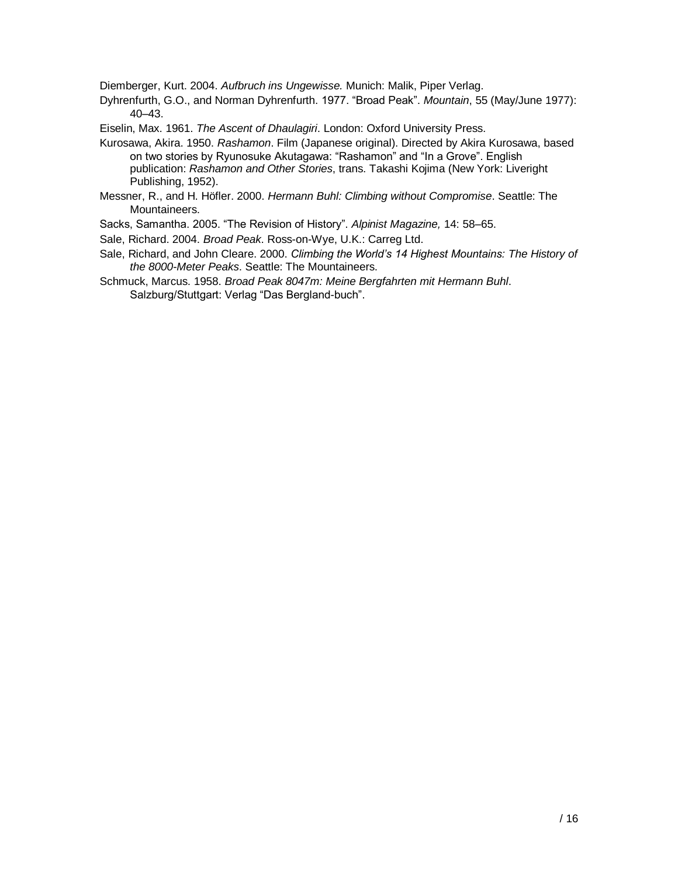Diemberger, Kurt. 2004. *Aufbruch ins Ungewisse.* Munich: Malik, Piper Verlag.

Dyhrenfurth, G.O., and Norman Dyhrenfurth. 1977. "Broad Peak". *Mountain*, 55 (May/June 1977): 40–43.

Eiselin, Max. 1961. *The Ascent of Dhaulagiri*. London: Oxford University Press.

- Kurosawa, Akira. 1950. *Rashamon*. Film (Japanese original). Directed by Akira Kurosawa, based on two stories by Ryunosuke Akutagawa: "Rashamon" and "In a Grove". English publication: *Rashamon and Other Stories*, trans. Takashi Kojima (New York: Liveright Publishing, 1952).
- Messner, R., and H. Höfler. 2000. *Hermann Buhl: Climbing without Compromise*. Seattle: The Mountaineers.
- Sacks, Samantha. 2005. "The Revision of History". *Alpinist Magazine,* 14: 58–65.
- Sale, Richard. 2004. *Broad Peak*. Ross-on-Wye, U.K.: Carreg Ltd.
- Sale, Richard, and John Cleare. 2000. *Climbing the World's 14 Highest Mountains: The History of the 8000-Meter Peaks*. Seattle: The Mountaineers.
- Schmuck, Marcus. 1958. *Broad Peak 8047m: Meine Bergfahrten mit Hermann Buhl*. Salzburg/Stuttgart: Verlag "Das Bergland-buch".